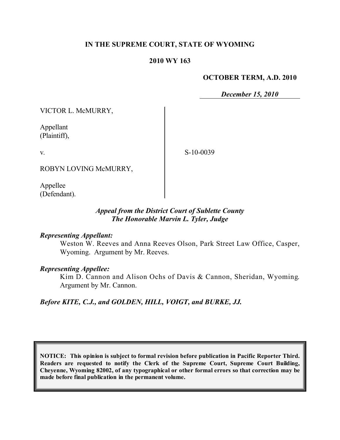## **IN THE SUPREME COURT, STATE OF WYOMING**

### **2010 WY 163**

#### **OCTOBER TERM, A.D. 2010**

*December 15, 2010*

VICTOR L. McMURRY,

Appellant (Plaintiff),

v.

S-10-0039

ROBYN LOVING McMURRY,

Appellee (Defendant).

### *Appeal from the District Court of Sublette County The Honorable Marvin L. Tyler, Judge*

### *Representing Appellant:*

Weston W. Reeves and Anna Reeves Olson, Park Street Law Office, Casper, Wyoming. Argument by Mr. Reeves.

#### *Representing Appellee:*

Kim D. Cannon and Alison Ochs of Davis & Cannon, Sheridan, Wyoming. Argument by Mr. Cannon.

*Before KITE, C.J., and GOLDEN, HILL, VOIGT, and BURKE, JJ.*

**NOTICE: This opinion is subject to formal revision before publication in Pacific Reporter Third. Readers are requested to notify the Clerk of the Supreme Court, Supreme Court Building, Cheyenne, Wyoming 82002, of any typographical or other formal errors so that correction may be made before final publication in the permanent volume.**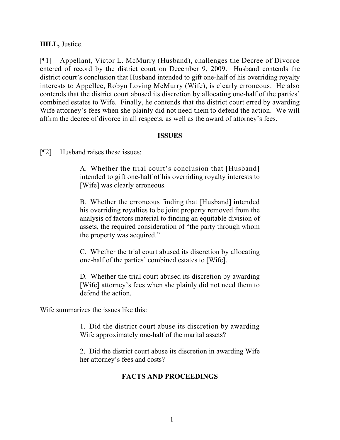### **HILL,** Justice.

[¶1] Appellant, Victor L. McMurry (Husband), challenges the Decree of Divorce entered of record by the district court on December 9, 2009. Husband contends the district court's conclusion that Husband intended to gift one-half of his overriding royalty interests to Appellee, Robyn Loving McMurry (Wife), is clearly erroneous. He also contends that the district court abused its discretion by allocating one-half of the parties' combined estates to Wife. Finally, he contends that the district court erred by awarding Wife attorney's fees when she plainly did not need them to defend the action. We will affirm the decree of divorce in all respects, as well as the award of attorney's fees.

### **ISSUES**

[¶2] Husband raises these issues:

A. Whether the trial court's conclusion that [Husband] intended to gift one-half of his overriding royalty interests to [Wife] was clearly erroneous.

B. Whether the erroneous finding that [Husband] intended his overriding royalties to be joint property removed from the analysis of factors material to finding an equitable division of assets, the required consideration of "the party through whom the property was acquired."

C. Whether the trial court abused its discretion by allocating one-half of the parties' combined estates to [Wife].

D. Whether the trial court abused its discretion by awarding [Wife] attorney's fees when she plainly did not need them to defend the action.

Wife summarizes the issues like this:

1. Did the district court abuse its discretion by awarding Wife approximately one-half of the marital assets?

2. Did the district court abuse its discretion in awarding Wife her attorney's fees and costs?

## **FACTS AND PROCEEDINGS**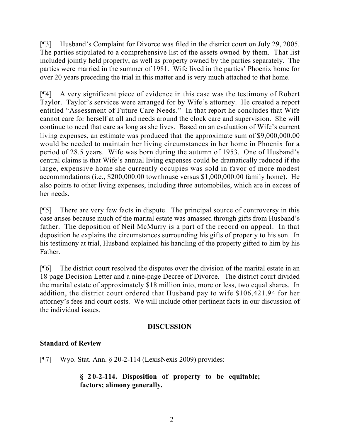[¶3] Husband's Complaint for Divorce was filed in the district court on July 29, 2005. The parties stipulated to a comprehensive list of the assets owned by them. That list included jointly held property, as well as property owned by the parties separately. The parties were married in the summer of 1981. Wife lived in the parties' Phoenix home for over 20 years preceding the trial in this matter and is very much attached to that home.

[¶4] A very significant piece of evidence in this case was the testimony of Robert Taylor. Taylor's services were arranged for by Wife's attorney. He created a report entitled "Assessment of Future Care Needs." In that report he concludes that Wife cannot care for herself at all and needs around the clock care and supervision. She will continue to need that care as long as she lives. Based on an evaluation of Wife's current living expenses, an estimate was produced that the approximate sum of \$9,000,000.00 would be needed to maintain her living circumstances in her home in Phoenix for a period of 28.5 years. Wife was born during the autumn of 1953. One of Husband's central claims is that Wife's annual living expenses could be dramatically reduced if the large, expensive home she currently occupies was sold in favor of more modest accommodations (i.e., \$200,000.00 townhouse versus \$1,000,000.00 family home). He also points to other living expenses, including three automobiles, which are in excess of her needs.

[¶5] There are very few facts in dispute. The principal source of controversy in this case arises because much of the marital estate was amassed through gifts from Husband's father. The deposition of Neil McMurry is a part of the record on appeal. In that deposition he explains the circumstances surrounding his gifts of property to his son. In his testimony at trial, Husband explained his handling of the property gifted to him by his Father.

[¶6] The district court resolved the disputes over the division of the marital estate in an 18 page Decision Letter and a nine-page Decree of Divorce. The district court divided the marital estate of approximately \$18 million into, more or less, two equal shares. In addition, the district court ordered that Husband pay to wife \$106,421.94 for her attorney's fees and court costs. We will include other pertinent facts in our discussion of the individual issues.

# **DISCUSSION**

# **Standard of Review**

[¶7] Wyo. Stat. Ann. § 20-2-114 (LexisNexis 2009) provides:

## **§ 20-2-114. Disposition of property to be equitable; factors; alimony generally.**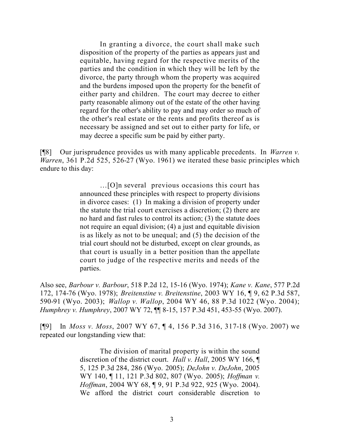In granting a divorce, the court shall make such disposition of the property of the parties as appears just and equitable, having regard for the respective merits of the parties and the condition in which they will be left by the divorce, the party through whom the property was acquired and the burdens imposed upon the property for the benefit of either party and children. The court may decree to either party reasonable alimony out of the estate of the other having regard for the other's ability to pay and may order so much of the other's real estate or the rents and profits thereof as is necessary be assigned and set out to either party for life, or may decree a specific sum be paid by either party.

[¶8] Our jurisprudence provides us with many applicable precedents. In *Warren v. Warren*, 361 P.2d 525, 526-27 (Wyo. 1961) we iterated these basic principles which endure to this day:

> …[O]n several previous occasions this court has announced these principles with respect to property divisions in divorce cases: (1) In making a division of property under the statute the trial court exercises a discretion; (2) there are no hard and fast rules to control its action; (3) the statute does not require an equal division; (4) a just and equitable division is as likely as not to be unequal; and (5) the decision of the trial court should not be disturbed, except on clear grounds, as that court is usually in a better position than the appellate court to judge of the respective merits and needs of the parties.

Also see, *Barbour v. Barbour*, 518 P.2d 12, 15-16 (Wyo. 1974); *Kane v. Kane*, 577 P.2d 172, 174-76 (Wyo. 1978); *Breitenstine v. Breitenstine*, 2003 WY 16, ¶ 9, 62 P.3d 587, 590-91 (Wyo. 2003); *Wallop v. Wallop*, 2004 WY 46, 88 P.3d 1022 (Wyo. 2004); *Humphrey v. Humphrey*, 2007 WY 72, ¶¶ 8-15, 157 P.3d 451, 453-55 (Wyo. 2007).

[¶9] In *Moss v. Moss*, 2007 WY 67, ¶ 4, 156 P.3d 316, 317-18 (Wyo. 2007) we repeated our longstanding view that:

> The division of marital property is within the sound discretion of the district court. *Hall v. Hall*, 2005 WY 166, ¶ 5, 125 P.3d 284, 286 (Wyo. 2005); *DeJohn v. DeJohn*, 2005 WY 140, ¶ 11, 121 P.3d 802, 807 (Wyo. 2005); *Hoffman v. Hoffman*, 2004 WY 68, ¶ 9, 91 P.3d 922, 925 (Wyo. 2004). We afford the district court considerable discretion to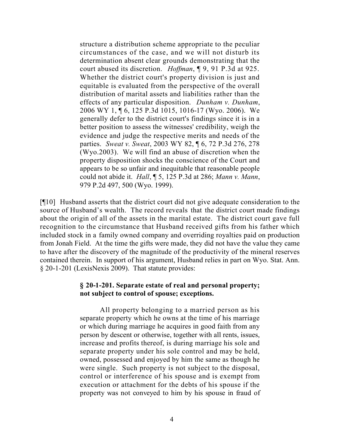structure a distribution scheme appropriate to the peculiar circumstances of the case, and we will not disturb its determination absent clear grounds demonstrating that the court abused its discretion. *Hoffman*, ¶ 9, 91 P.3d at 925. Whether the district court's property division is just and equitable is evaluated from the perspective of the overall distribution of marital assets and liabilities rather than the effects of any particular disposition. *Dunham v. Dunham*, 2006 WY 1, ¶ 6, 125 P.3d 1015, 1016-17 (Wyo. 2006). We generally defer to the district court's findings since it is in a better position to assess the witnesses' credibility, weigh the evidence and judge the respective merits and needs of the parties. *Sweat v. Sweat*, 2003 WY 82, ¶ 6, 72 P.3d 276, 278 (Wyo.2003). We will find an abuse of discretion when the property disposition shocks the conscience of the Court and appears to be so unfair and inequitable that reasonable people could not abide it. *Hall*, ¶ 5, 125 P.3d at 286; *Mann v. Mann*, 979 P.2d 497, 500 (Wyo. 1999).

[¶10] Husband asserts that the district court did not give adequate consideration to the source of Husband's wealth. The record reveals that the district court made findings about the origin of all of the assets in the marital estate. The district court gave full recognition to the circumstance that Husband received gifts from his father which included stock in a family owned company and overriding royalties paid on production from Jonah Field. At the time the gifts were made, they did not have the value they came to have after the discovery of the magnitude of the productivity of the mineral reserves contained therein. In support of his argument, Husband relies in part on Wyo. Stat. Ann. § 20-1-201 (LexisNexis 2009). That statute provides:

### **§ 20-1-201. Separate estate of real and personal property; not subject to control of spouse; exceptions.**

All property belonging to a married person as his separate property which he owns at the time of his marriage or which during marriage he acquires in good faith from any person by descent or otherwise, together with all rents, issues, increase and profits thereof, is during marriage his sole and separate property under his sole control and may be held, owned, possessed and enjoyed by him the same as though he were single. Such property is not subject to the disposal, control or interference of his spouse and is exempt from execution or attachment for the debts of his spouse if the property was not conveyed to him by his spouse in fraud of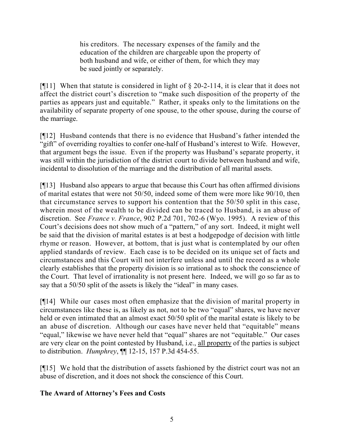his creditors. The necessary expenses of the family and the education of the children are chargeable upon the property of both husband and wife, or either of them, for which they may be sued jointly or separately.

[ $[$ [11] When that statute is considered in light of  $\S$  20-2-114, it is clear that it does not affect the district court's discretion to "make such disposition of the property of the parties as appears just and equitable." Rather, it speaks only to the limitations on the availability of separate property of one spouse, to the other spouse, during the course of the marriage.

[¶12] Husband contends that there is no evidence that Husband's father intended the "gift" of overriding royalties to confer one-half of Husband's interest to Wife. However, that argument begs the issue. Even if the property was Husband's separate property, it was still within the jurisdiction of the district court to divide between husband and wife, incidental to dissolution of the marriage and the distribution of all marital assets.

[¶13] Husband also appears to argue that because this Court has often affirmed divisions of marital estates that were not 50/50, indeed some of them were more like 90/10, then that circumstance serves to support his contention that the 50/50 split in this case, wherein most of the wealth to be divided can be traced to Husband, is an abuse of discretion. See *France v. France*, 902 P.2d 701, 702-6 (Wyo. 1995). A review of this Court's decisions does not show much of a "pattern," of any sort. Indeed, it might well be said that the division of marital estates is at best a hodgepodge of decision with little rhyme or reason. However, at bottom, that is just what is contemplated by our often applied standards of review. Each case is to be decided on its unique set of facts and circumstances and this Court will not interfere unless and until the record as a whole clearly establishes that the property division is so irrational as to shock the conscience of the Court. That level of irrationality is not present here. Indeed, we will go so far as to say that a 50/50 split of the assets is likely the "ideal" in many cases.

[¶14] While our cases most often emphasize that the division of marital property in circumstances like these is, as likely as not, not to be two "equal" shares, we have never held or even intimated that an almost exact 50/50 split of the marital estate is likely to be an abuse of discretion. Although our cases have never held that "equitable" means "equal," likewise we have never held that "equal" shares are not "equitable." Our cases are very clear on the point contested by Husband, i.e., all property of the parties is subject to distribution. *Humphrey*, ¶¶ 12-15, 157 P.3d 454-55.

[¶15] We hold that the distribution of assets fashioned by the district court was not an abuse of discretion, and it does not shock the conscience of this Court.

# **The Award of Attorney's Fees and Costs**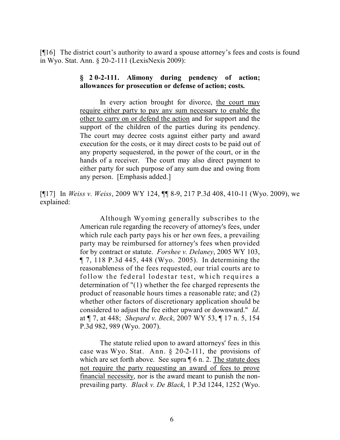[¶16] The district court's authority to award a spouse attorney's fees and costs is found in Wyo. Stat. Ann. § 20-2-111 (LexisNexis 2009):

#### **§ 20-2-111. Alimony during pendency of action; allowances for prosecution or defense of action; costs.**

In every action brought for divorce, the court may require either party to pay any sum necessary to enable the other to carry on or defend the action and for support and the support of the children of the parties during its pendency. The court may decree costs against either party and award execution for the costs, or it may direct costs to be paid out of any property sequestered, in the power of the court, or in the hands of a receiver. The court may also direct payment to either party for such purpose of any sum due and owing from any person. [Emphasis added.]

[¶17] In *Weiss v. Weiss*, 2009 WY 124, ¶¶ 8-9, 217 P.3d 408, 410-11 (Wyo. 2009), we explained:

> Although Wyoming generally subscribes to the American rule regarding the recovery of attorney's fees, under which rule each party pays his or her own fees, a prevailing party may be reimbursed for attorney's fees when provided for by contract or statute. *Forshee v. Delaney*, 2005 WY 103, ¶ 7, 118 P.3d 445, 448 (Wyo. 2005). In determining the reasonableness of the fees requested, our trial courts are to follow the federal lodestar test, which requires a determination of "(1) whether the fee charged represents the product of reasonable hours times a reasonable rate; and (2) whether other factors of discretionary application should be considered to adjust the fee either upward or downward." *Id*. at ¶ 7, at 448; *Shepard v. Beck*, 2007 WY 53, ¶ 17 n. 5, 154 P.3d 982, 989 (Wyo. 2007).

> The statute relied upon to award attorneys' fees in this case was Wyo. Stat. Ann. § 20-2-111, the provisions of which are set forth above. See supra  $\P$  6 n. 2. The statute does not require the party requesting an award of fees to prove financial necessity, nor is the award meant to punish the nonprevailing party. *Black v. De Black*, 1 P.3d 1244, 1252 (Wyo.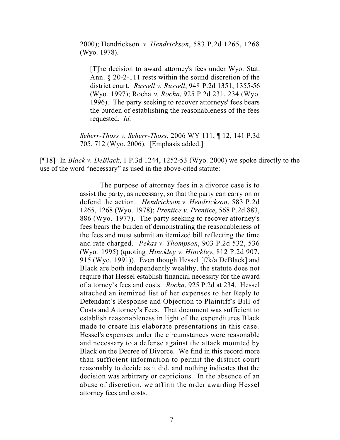2000); Hendrickson *v. Hendrickson*, 583 P.2d 1265, 1268 (Wyo. 1978).

[T]he decision to award attorney's fees under Wyo. Stat. Ann. § 20-2-111 rests within the sound discretion of the district court. *Russell v. Russell*, 948 P.2d 1351, 1355-56 (Wyo. 1997); Rocha *v. Rocha*, 925 P.2d 231, 234 (Wyo. 1996). The party seeking to recover attorneys' fees bears the burden of establishing the reasonableness of the fees requested. *Id*.

*Seherr-Thoss v. Seherr-Thoss*, 2006 WY 111, ¶ 12, 141 P.3d 705, 712 (Wyo. 2006). [Emphasis added.]

[¶18] In *Black v. DeBlack*, 1 P.3d 1244, 1252-53 (Wyo. 2000) we spoke directly to the use of the word "necessary" as used in the above-cited statute:

> The purpose of attorney fees in a divorce case is to assist the party, as necessary, so that the party can carry on or defend the action. *Hendrickson v. Hendrickson*, 583 P.2d 1265, 1268 (Wyo. 1978); *Prentice v. Prentice*, 568 P.2d 883, 886 (Wyo. 1977). The party seeking to recover attorney's fees bears the burden of demonstrating the reasonableness of the fees and must submit an itemized bill reflecting the time and rate charged. *Pekas v. Thompson*, 903 P.2d 532, 536 (Wyo. 1995) (quoting *Hinckley v. Hinckley*, 812 P.2d 907, 915 (Wyo. 1991)). Even though Hessel [f/k/a DeBlack] and Black are both independently wealthy, the statute does not require that Hessel establish financial necessity for the award of attorney's fees and costs. *Rocha*, 925 P.2d at 234. Hessel attached an itemized list of her expenses to her Reply to Defendant's Response and Objection to Plaintiff's Bill of Costs and Attorney's Fees. That document was sufficient to establish reasonableness in light of the expenditures Black made to create his elaborate presentations in this case. Hessel's expenses under the circumstances were reasonable and necessary to a defense against the attack mounted by Black on the Decree of Divorce. We find in this record more than sufficient information to permit the district court reasonably to decide as it did, and nothing indicates that the decision was arbitrary or capricious. In the absence of an abuse of discretion, we affirm the order awarding Hessel attorney fees and costs.